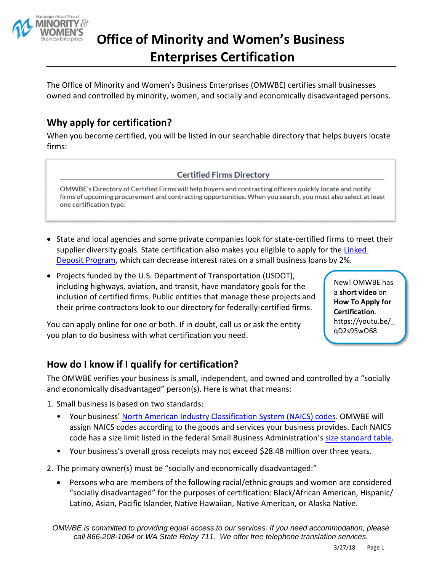

# **Office of Minority and Women's Business Enterprises Certification**

The Office of Minority and Women's Business Enterprises (OMWBE) certifies small businesses owned and controlled by minority, women, and socially and economically disadvantaged persons.

# **Why apply for certification?**

When you become certified, you will be listed in our searchable directory that helps buyers locate firms:

#### **Certified Firms Directory**

OMWBE's Directory of Certified Firms will help buyers and contracting officers quickly locate and notify firms of upcoming procurement and contracting opportunities. When you search, you must also select at least one certification type.

- State and local agencies and some private companies look for state-certified firms to meet their supplier diversity goals. State certification also makes you eligible to apply for the [Linked](http://omwbe.wa.gov/linked-deposit-program/) [Deposit Program,](http://omwbe.wa.gov/linked-deposit-program/) which can decrease interest rates on a small business loans by 2%.
- Projects funded by the U.S. Department of Transportation (USDOT), including highways, aviation, and transit, have mandatory goals for the inclusion of certified firms. Public entities that manage these projects and their prime contractors look to our directory for federally-certified firms.

You can apply online for one or both. If in doubt, call us or ask the entity you plan to do business with what certification you need.

New! OMWBE has a **short video** on **How To Apply for Certification**. https://youtu.be/\_ qD2s95wO68

## **How do I know if I qualify for certification?**

The OMWBE verifies your business is small, independent, and owned and controlled by a "socially and economically disadvantaged" person(s). Here is what that means:

- 1. Small business is based on two standards:
	- Your business' [North American Industry Classification System \(NAICS\) codes.](http://www.census.gov/eos/www/naics/) OMWBE will assign NAICS codes according to the goods and services your business provides. Each NAICS code has a size limit listed in the federal Small Business Administration's size standard table.
	- Your business's overall gross receipts may not exceed \$28.48 million over three years.
- 2. The primary owner(s) must be "socially and economically disadvantaged:"
	- Persons who are members of the following racial/ethnic groups and women are considered "socially disadvantaged" for the purposes of certification: Black/African American, Hispanic/ Latino, Asian, Pacific Islander, Native Hawaiian, Native American, or Alaska Native.

*OMWBE is committed to providing equal access to our services. If you need accommodation, please call 866-208-1064 or WA State Relay 711. We offer free telephone translation services.*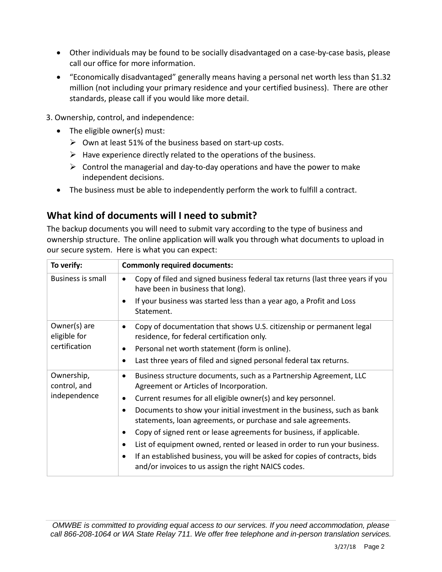- Other individuals may be found to be socially disadvantaged on a case-by-case basis, please call our office for more information.
- "Economically disadvantaged" generally means having a personal net worth less than \$1.32 million (not including your primary residence and your certified business). There are other standards, please call if you would like more detail.
- 3. Ownership, control, and independence:
	- The eligible owner(s) must:
		- $\triangleright$  Own at least 51% of the business based on start-up costs.
		- $\triangleright$  Have experience directly related to the operations of the business.
		- $\triangleright$  Control the managerial and day-to-day operations and have the power to make independent decisions.
	- The business must be able to independently perform the work to fulfill a contract.

### **What kind of documents will I need to submit?**

The backup documents you will need to submit vary according to the type of business and ownership structure. The online application will walk you through what documents to upload in our secure system. Here is what you can expect:

| To verify:                                    | <b>Commonly required documents:</b>                                                                                                                   |
|-----------------------------------------------|-------------------------------------------------------------------------------------------------------------------------------------------------------|
| Business is small                             | Copy of filed and signed business federal tax returns (last three years if you<br>$\bullet$<br>have been in business that long).                      |
|                                               | If your business was started less than a year ago, a Profit and Loss<br>$\bullet$<br>Statement.                                                       |
| Owner(s) are<br>eligible for<br>certification | Copy of documentation that shows U.S. citizenship or permanent legal<br>$\bullet$<br>residence, for federal certification only.                       |
|                                               | Personal net worth statement (form is online).<br>$\bullet$                                                                                           |
|                                               | Last three years of filed and signed personal federal tax returns.<br>$\bullet$                                                                       |
| Ownership,<br>control, and<br>independence    | Business structure documents, such as a Partnership Agreement, LLC<br>$\bullet$<br>Agreement or Articles of Incorporation.                            |
|                                               | Current resumes for all eligible owner(s) and key personnel.<br>$\bullet$                                                                             |
|                                               | Documents to show your initial investment in the business, such as bank<br>$\bullet$<br>statements, loan agreements, or purchase and sale agreements. |
|                                               | Copy of signed rent or lease agreements for business, if applicable.<br>$\bullet$                                                                     |
|                                               | List of equipment owned, rented or leased in order to run your business.<br>$\bullet$                                                                 |
|                                               | If an established business, you will be asked for copies of contracts, bids<br>$\bullet$<br>and/or invoices to us assign the right NAICS codes.       |